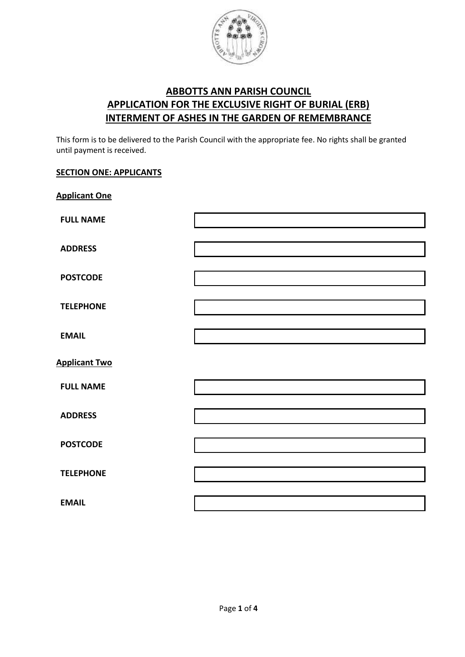

## **ABBOTTS ANN PARISH COUNCIL APPLICATION FOR THE EXCLUSIVE RIGHT OF BURIAL (ERB) INTERMENT OF ASHES IN THE GARDEN OF REMEMBRANCE**

This form is to be delivered to the Parish Council with the appropriate fee. No rights shall be granted until payment is received.

## **SECTION ONE: APPLICANTS**

| <b>Applicant One</b> |  |
|----------------------|--|
| <b>FULL NAME</b>     |  |
| <b>ADDRESS</b>       |  |
| <b>POSTCODE</b>      |  |
| <b>TELEPHONE</b>     |  |
| <b>EMAIL</b>         |  |
| <b>Applicant Two</b> |  |
| <b>FULL NAME</b>     |  |
| <b>ADDRESS</b>       |  |
| <b>POSTCODE</b>      |  |
| <b>TELEPHONE</b>     |  |
| <b>EMAIL</b>         |  |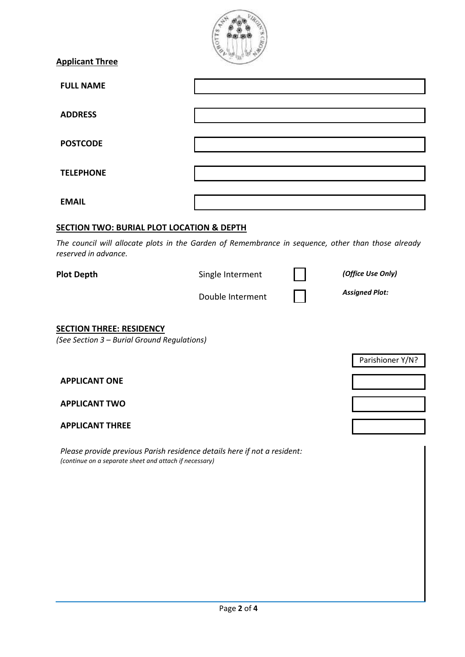| <b>Applicant Three</b>                                                                                                             |                  |  |                       |  |
|------------------------------------------------------------------------------------------------------------------------------------|------------------|--|-----------------------|--|
| <b>FULL NAME</b>                                                                                                                   |                  |  |                       |  |
| <b>ADDRESS</b>                                                                                                                     |                  |  |                       |  |
| <b>POSTCODE</b>                                                                                                                    |                  |  |                       |  |
| <b>TELEPHONE</b>                                                                                                                   |                  |  |                       |  |
| <b>EMAIL</b>                                                                                                                       |                  |  |                       |  |
| <b>SECTION TWO: BURIAL PLOT LOCATION &amp; DEPTH</b>                                                                               |                  |  |                       |  |
| The council will allocate plots in the Garden of Remembrance in sequence, other than those already<br>reserved in advance.         |                  |  |                       |  |
| <b>Plot Depth</b>                                                                                                                  | Single Interment |  | (Office Use Only)     |  |
|                                                                                                                                    | Double Interment |  | <b>Assigned Plot:</b> |  |
| <b>SECTION THREE: RESIDENCY</b><br>(See Section 3 - Burial Ground Regulations)                                                     |                  |  |                       |  |
|                                                                                                                                    |                  |  | Parishioner Y/N?      |  |
| <b>APPLICANT ONE</b>                                                                                                               |                  |  |                       |  |
| <b>APPLICANT TWO</b>                                                                                                               |                  |  |                       |  |
| <b>APPLICANT THREE</b>                                                                                                             |                  |  |                       |  |
| Please provide previous Parish residence details here if not a resident:<br>(continue on a separate sheet and attach if necessary) |                  |  |                       |  |
|                                                                                                                                    |                  |  |                       |  |
|                                                                                                                                    |                  |  |                       |  |
|                                                                                                                                    |                  |  |                       |  |
|                                                                                                                                    |                  |  |                       |  |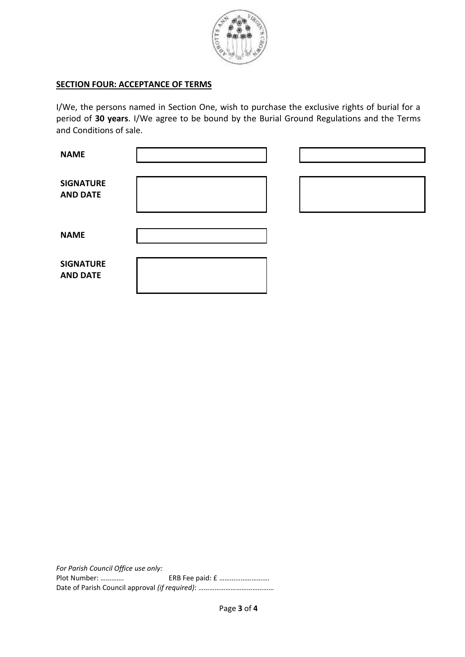

## **SECTION FOUR: ACCEPTANCE OF TERMS**

I/We, the persons named in Section One, wish to purchase the exclusive rights of burial for a period of **30 years**. I/We agree to be bound by the Burial Ground Regulations and the Terms and Conditions of sale.

| <b>NAME</b>                         |  |  |
|-------------------------------------|--|--|
| <b>SIGNATURE</b><br><b>AND DATE</b> |  |  |
| <b>NAME</b>                         |  |  |
| <b>SIGNATURE</b><br><b>AND DATE</b> |  |  |

*For Parish Council Office use only:* Plot Number: …………. ERB Fee paid: £ ………………………. Date of Parish Council approval *(if required)*: ……………………………………